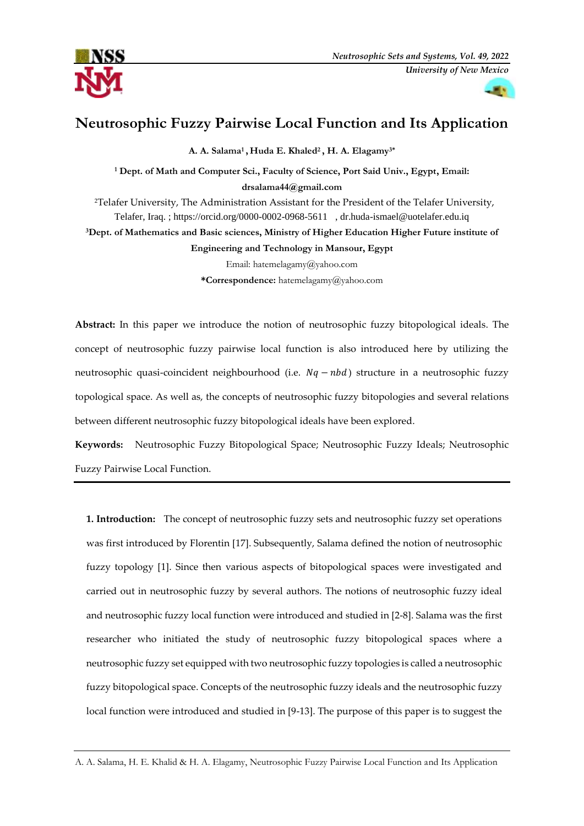



# **Neutrosophic Fuzzy Pairwise Local Function and Its Application**

**A. A. Salama<sup>1</sup> , Huda E. Khaled<sup>2</sup> , H. A. Elagamy3\***

**<sup>1</sup> Dept. of Math and Computer Sci., Faculty of Science, Port Said Univ., Egypt, Email: [drsalama44@gmail.com](mailto:drsalama44@gmail.com)** <sup>2</sup>Telafer University, The Administration Assistant for the President of the Telafer University,

Telafer, Iraq. ;<https://orcid.org/0000-0002-0968-5611>, [dr.huda-ismael@uotelafer.edu.iq](mailto:dr.huda-ismael@uotelafer.edu.iq)

**<sup>3</sup>Dept. of Mathematics and Basic sciences, Ministry of Higher Education Higher Future institute of** 

**Engineering and Technology in Mansour, Egypt**

Email: [hatemelagamy@yahoo.com](mailto:hatemelagamy@yahoo.com) **\*Correspondence:** [hatemelagamy@yahoo.com](mailto:hatemelagamy@yahoo.com)

**Abstract:** In this paper we introduce the notion of neutrosophic fuzzy bitopological ideals. The concept of neutrosophic fuzzy pairwise local function is also introduced here by utilizing the neutrosophic quasi-coincident neighbourhood (i.e.  $Nq - nbd$ ) structure in a neutrosophic fuzzy topological space. As well as, the concepts of neutrosophic fuzzy bitopologies and several relations between different neutrosophic fuzzy bitopological ideals have been explored.

**Keywords:** Neutrosophic Fuzzy Bitopological Space; Neutrosophic Fuzzy Ideals; Neutrosophic Fuzzy Pairwise Local Function.

**1. Introduction:** The concept of neutrosophic fuzzy sets and neutrosophic fuzzy set operations was first introduced by Florentin [17]. Subsequently, Salama defined the notion of neutrosophic fuzzy topology [1]. Since then various aspects of bitopological spaces were investigated and carried out in neutrosophic fuzzy by several authors. The notions of neutrosophic fuzzy ideal and neutrosophic fuzzy local function were introduced and studied in [2-8]. Salama was the first researcher who initiated the study of neutrosophic fuzzy bitopological spaces where a neutrosophic fuzzy set equipped with two neutrosophic fuzzy topologies is called a neutrosophic fuzzy bitopological space. Concepts of the neutrosophic fuzzy ideals and the neutrosophic fuzzy local function were introduced and studied in [9-13]. The purpose of this paper is to suggest the

A. A. Salama, H. E. Khalid & H. A. Elagamy, Neutrosophic Fuzzy Pairwise Local Function and Its Application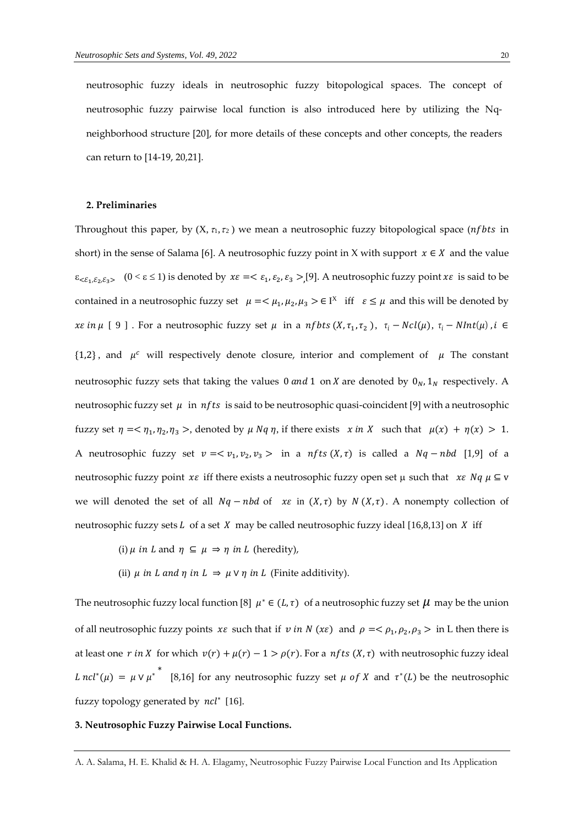neutrosophic fuzzy ideals in neutrosophic fuzzy bitopological spaces. The concept of neutrosophic fuzzy pairwise local function is also introduced here by utilizing the Nqneighborhood structure [20], for more details of these concepts and other concepts, the readers can return to [14-19, 20,21].

## **2. Preliminaries**

Throughout this paper, by  $(X, \tau_1, \tau_2)$  we mean a neutrosophic fuzzy bitopological space (*nf bts* in short) in the sense of Salama [6]. A neutrosophic fuzzy point in X with support  $x \in X$  and the value  $\epsilon_{\leq \epsilon_1,\epsilon_2,\epsilon_3>}$  (0  $\leq \epsilon \leq 1$ ) is denoted by  $x\epsilon = \epsilon_1, \epsilon_2, \epsilon_3 > [9]$ . A neutrosophic fuzzy point  $x\epsilon$  is said to be contained in a neutrosophic fuzzy set  $\mu = < \mu_1, \mu_2, \mu_3 > \epsilon \Gamma^X$  iff  $\epsilon \leq \mu$  and this will be denoted by xe in  $\mu$  [9]. For a neutrosophic fuzzy set  $\mu$  in a nfbts  $(X, \tau_1, \tau_2)$ ,  $\tau_i - Ncl(\mu)$ ,  $\tau_i - NInt(\mu)$ ,  $i \in$  $\{1,2\}$ , and  $\mu^c$  will respectively denote closure, interior and complement of  $\mu$  The constant neutrosophic fuzzy sets that taking the values 0 and 1 on *X* are denoted by  $0<sub>N</sub>$ ,  $1<sub>N</sub>$  respectively. A neutrosophic fuzzy set  $\mu$  in  $nfts$  is said to be neutrosophic quasi-coincident [9] with a neutrosophic fuzzy set  $\eta = \langle \eta_1, \eta_2, \eta_3 \rangle$ , denoted by  $\mu Nq \eta$ , if there exists  $x \in X$  such that  $\mu(x) + \eta(x) > 1$ . A neutrosophic fuzzy set  $v = \langle v_1, v_2, v_3 \rangle$  in a nfts  $(X, \tau)$  is called a  $Nq - nbd$  [1,9] of a neutrosophic fuzzy point  $x \varepsilon$  iff there exists a neutrosophic fuzzy open set  $\mu$  such that  $x \varepsilon Nq \mu \subseteq v$ we will denoted the set of all  $Nq - nbd$  of  $x\varepsilon$  in  $(X, \tau)$  by  $N(X, \tau)$ . A nonempty collection of neutrosophic fuzzy sets  $L$  of a set  $X$  may be called neutrosophic fuzzy ideal [16,8,13] on  $X$  iff

- (i)  $\mu$  in L and  $\eta \subseteq \mu \Rightarrow \eta$  in L (heredity),
- (ii)  $\mu$  in *L* and  $\eta$  in  $L \Rightarrow \mu \vee \eta$  in *L* (Finite additivity).

The neutrosophic fuzzy local function [8]  $\mu^* \in (L, \tau)$  of a neutrosophic fuzzy set  $\mu$  may be the union of all neutrosophic fuzzy points  $x \varepsilon$  such that if  $v$  in  $N(x \varepsilon)$  and  $\rho = \langle \rho_1, \rho_2, \rho_3 \rangle$  in L then there is at least one  $r$  in X for which  $v(r) + \mu(r) - 1 > \rho(r)$ . For a nfts  $(X, \tau)$  with neutrosophic fuzzy ideal  $L \; ncl^*(\mu) \; = \; \mu \vee \mu^*$ [8,16] for any neutrosophic fuzzy set  $\mu$  of X and  $\tau^*(L)$  be the neutrosophic fuzzy topology generated by ncl<sup>\*</sup> [16].

## **3. Neutrosophic Fuzzy Pairwise Local Functions.**

A. A. Salama, H. E. Khalid & H. A. Elagamy, Neutrosophic Fuzzy Pairwise Local Function and Its Application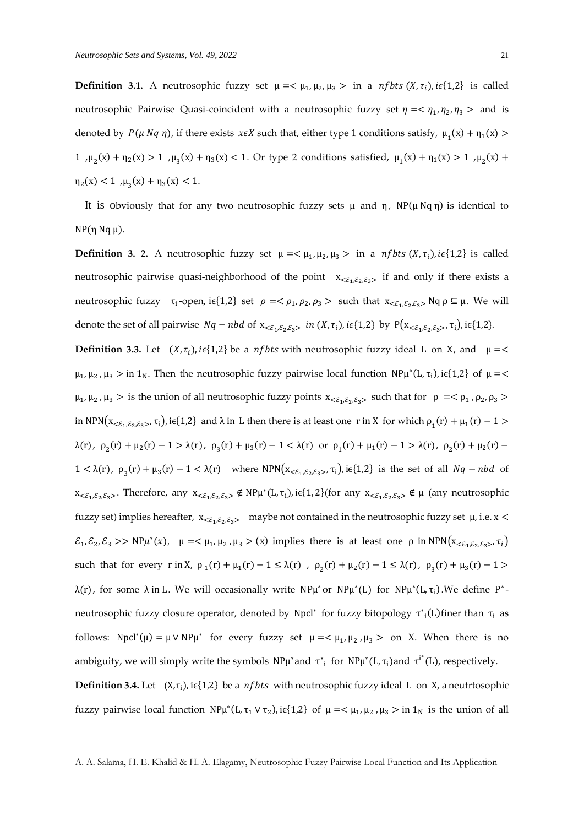**Definition 3.1.** A neutrosophic fuzzy set  $\mu = \langle \mu_1, \mu_2, \mu_3 \rangle$  in a *nfbts*  $(X, \tau_i)$ , *i* $\epsilon$ {1,2} is called neutrosophic Pairwise Quasi-coincident with a neutrosophic fuzzy set  $\eta = \langle \eta_1, \eta_2, \eta_3 \rangle$  and is denoted by  $P(\mu Nq \eta)$ , if there exists  $x \in X$  such that, either type 1 conditions satisfy,  $\mu_1(x) + \eta_1(x)$ 1,  $\mu_2(x) + \eta_2(x) > 1$ ,  $\mu_3(x) + \eta_3(x) < 1$ . Or type 2 conditions satisfied,  $\mu_1(x) + \eta_1(x) > 1$ ,  $\mu_2(x) +$  $\eta_2(x) < 1$ ,  $\mu_3(x) + \eta_3(x) < 1$ .

It is obviously that for any two neutrosophic fuzzy sets  $\mu$  and  $\eta$ , NP( $\mu$ Nq  $\eta$ ) is identical to NP(η Nq μ).

**Definition 3. 2.** A neutrosophic fuzzy set  $\mu = \langle \mu_1, \mu_2, \mu_3 \rangle$  in a *nfbts*  $(X, \tau_i)$ , *i* $\epsilon$ {1,2} is called neutrosophic pairwise quasi-neighborhood of the point  $x_{\leq \xi_1, \xi_2, \xi_3}$  if and only if there exists a neutrosophic fuzzy  $\tau_i$ -open, i $\epsilon\{1,2\}$  set  $\rho = \langle \rho_1, \rho_2, \rho_3 \rangle$  such that  $x_{\langle \mathcal{E}_1, \mathcal{E}_2, \mathcal{E}_3 \rangle}$  Nq  $\rho \subseteq \mu$ . We will denote the set of all pairwise  $Nq - nbd$  of  $x_{<\epsilon_1,\epsilon_2,\epsilon_3>}$  in  $(X, \tau_i)$ , i $\epsilon\{1,2\}$  by  $P(x_{<\epsilon_1,\epsilon_2,\epsilon_3>}$ ,  $\tau_i)$ , i $\epsilon\{1,2\}$ . **Definition 3.3.** Let  $(X, \tau_i)$ ,  $i \in \{1,2\}$  be a *nfbts* with neutrosophic fuzzy ideal L on X, and  $\mu =$  $\mu_1, \mu_2, \mu_3 > \text{in } 1_N$ . Then the neutrosophic fuzzy pairwise local function  $NP\mu^*(L, \tau_i)$ , i $\epsilon\{1,2\}$  of  $\mu =$  $\mu_1, \mu_2, \mu_3 >$  is the union of all neutrosophic fuzzy points  $x_{<\varepsilon_1, \varepsilon_2, \varepsilon_3>}$  such that for  $\rho = <\rho_1$ ,  $\rho_2, \rho_3 >$ in NPN( $x_{\leq \epsilon_1,\epsilon_2,\epsilon_3>}$ ,  $\tau_i$ ), i $\epsilon$ {1,2} and  $\lambda$  in L then there is at least one r in X for which  $\rho_1(r) + \mu_1(r) - 1$  >  $λ(r), ρ<sub>2</sub>(r) + μ<sub>2</sub>(r) - 1 > λ(r), ρ<sub>3</sub>(r) + μ<sub>3</sub>(r) - 1 < λ(r)$  or  $ρ<sub>1</sub>(r) + μ<sub>1</sub>(r) - 1 > λ(r), ρ<sub>2</sub>(r) + μ<sub>2</sub>(r) - 1$  $1 < \lambda(r)$ ,  $\rho_3(r) + \mu_3(r) - 1 < \lambda(r)$  where NPN( $x_{<\epsilon_1,\epsilon_2,\epsilon_3>}$ ,  $\tau_i$ ), i $\epsilon$ {1,2} is the set of all  $Nq - nbd$  of  $x_{\leq \varepsilon_1,\varepsilon_2,\varepsilon_3>}$ . Therefore, any  $x_{\leq \varepsilon_1,\varepsilon_2,\varepsilon_3>} \notin NP\mu^*(L,\tau_i)$ , i $\in \{1,2\}$  (for any  $x_{\leq \varepsilon_1,\varepsilon_2,\varepsilon_3>} \notin \mu$  (any neutrosophic fuzzy set) implies hereafter,  $x_{\leq \xi_1,\xi_2,\xi_3>}$  maybe not contained in the neutrosophic fuzzy set  $\mu$ , i.e.  $x <$  $\mathcal{E}_1, \mathcal{E}_2, \mathcal{E}_3 \gg NP\mu^*(x)$ ,  $\mu = \langle \mu_1, \mu_2, \mu_3 \rangle$  (x) implies there is at least one  $\rho$  in  $NPN(x_{<\varepsilon_1, \varepsilon_2, \varepsilon_3 \rangle}, \tau_i)$ such that for every r in X,  $\rho_1(r) + \mu_1(r) - 1 \leq \lambda(r)$ ,  $\rho_2(r) + \mu_2(r) - 1 \leq \lambda(r)$ ,  $\rho_3(r) + \mu_3(r) - 1 >$ λ(r), for some λ in L. We will occasionally write  $NPμ^*$ or  $NPμ^*(L)$  for  $NPμ^*(L, τ_i)$ . We define  $P^*$ neutrosophic fuzzy closure operator, denoted by Npcl<sup>\*</sup> for fuzzy bitopology  $\tau^*_{i}(L)$ finer than  $\tau_i$  as follows: Npcl<sup>\*</sup>(µ) =  $\mu$  V NP $\mu^*$  for every fuzzy set  $\mu = < \mu_1, \mu_2, \mu_3 >$  on X. When there is no ambiguity, we will simply write the symbols  $N P \mu^*$ and  $\tau^*_{i}$  for  $N P \mu^*(L, \tau_i)$ and  $\tau^{i^*}(L)$ , respectively.

**Definition 3.4.** Let  $(X, \tau_i)$ , i $\epsilon\{1,2\}$  be a *nfbts* with neutrosophic fuzzy ideal L on X, a neutrtosophic fuzzy pairwise local function  $NP\mu^*(L, \tau_1 \vee \tau_2)$ , i $\epsilon\{1,2\}$  of  $\mu = \langle \mu_1, \mu_2, \mu_3 \rangle$  in  $1_N$  is the union of all

A. A. Salama, H. E. Khalid & H. A. Elagamy, Neutrosophic Fuzzy Pairwise Local Function and Its Application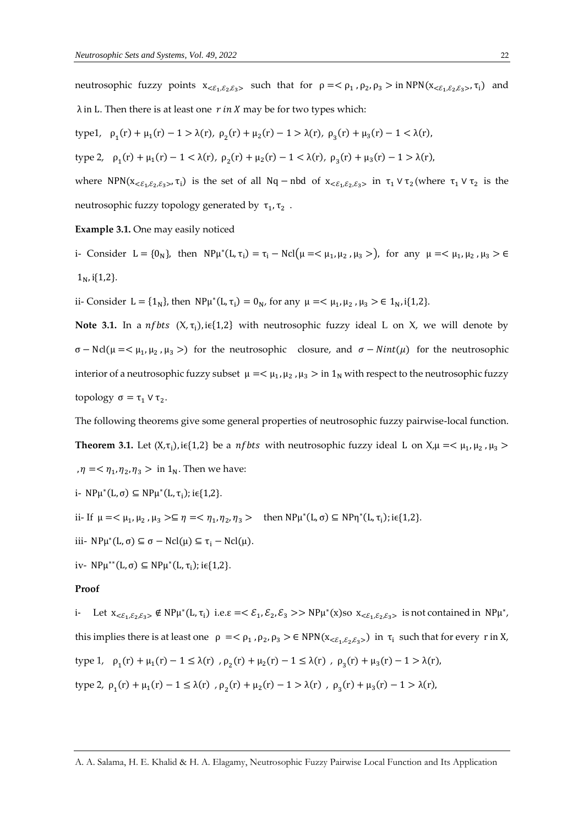neutrosophic fuzzy points  $x_{\leq \xi_1,\xi_2,\xi_3>}$  such that for  $\rho = \langle \rho_1, \rho_2, \rho_3 \rangle$  in NPN $(x_{\leq \xi_1,\xi_2,\xi_3>}$ ,  $\tau_i)$  and  $\lambda$  in L. Then there is at least one r in X may be for two types which:

type1,  $\rho_1(r) + \mu_1(r) - 1 > \lambda(r)$ ,  $\rho_2(r) + \mu_2(r) - 1 > \lambda(r)$ ,  $\rho_3(r) + \mu_3(r) - 1 < \lambda(r)$ , type 2,  $\rho_1(r) + \mu_1(r) - 1 < \lambda(r), \rho_2(r) + \mu_2(r) - 1 < \lambda(r), \rho_3(r) + \mu_3(r) - 1 > \lambda(r)$ where NPN( $x_{\leq \epsilon_1,\epsilon_2,\epsilon_3}$ ,  $\tau_i$ ) is the set of all Nq – nbd of  $x_{\leq \epsilon_1,\epsilon_2,\epsilon_3}$  in  $\tau_1 \vee \tau_2$  (where  $\tau_1 \vee \tau_2$  is the neutrosophic fuzzy topology generated by  $\tau_1, \tau_2$  .

#### **Example 3.1.** One may easily noticed

i- Consider  $L = \{0_N\}$ , then  $NP\mu^*(L, \tau_i) = \tau_i - Ncl(\mu = \langle \mu_1, \mu_2, \mu_3 \rangle)$ , for any  $\mu = \langle \mu_1, \mu_2, \mu_3 \rangle \in$  $1_{N}$ , i{1,2}.

ii- Consider  $L = \{1_N\}$ , then  $NP\mu^*(L, \tau_i) = 0_N$ , for any  $\mu = \langle \mu_1, \mu_2, \mu_3 \rangle \in 1_N$ , i{1,2}.

**Note 3.1.** In a *nf bts*  $(X, \tau_i)$ , i $\epsilon$ {1,2} with neutrosophic fuzzy ideal L on X, we will denote by  $σ - Ncl(μ = < μ<sub>1</sub>, μ<sub>2</sub>, μ<sub>3</sub> >)$  for the neutrosophic closure, and  $σ - Nint(μ)$  for the neutrosophic interior of a neutrosophic fuzzy subset  $\mu = <\mu_1, \mu_2$ ,  $\mu_3 >$  in  $1_N$  with respect to the neutrosophic fuzzy topology  $\sigma = \tau_1 \vee \tau_2$ .

The following theorems give some general properties of neutrosophic fuzzy pairwise-local function.

**Theorem 3.1.** Let  $(X,\tau_i)$ , i $\epsilon\{1,2\}$  be a *nf bts* with neutrosophic fuzzy ideal L on  $X,\mu=<\mu_1,\mu_2,\mu_3>$ ,  $\eta = \langle \eta_1, \eta_2, \eta_3 \rangle$  in  $1_N$ . Then we have:

$$
i-NP\mu^*(L,\sigma)\subseteq NP\mu^*(L,\tau_i); i\in\{1,2\}.
$$

ii- If  $\mu = \langle \mu_1, \mu_2, \mu_3 \rangle \subseteq \eta = \langle \eta_1, \eta_2, \eta_3 \rangle$  then  $NP\mu^*(L, \sigma) \subseteq NP\eta^*(L, \tau_1)$ ; i $\in \{1, 2\}$ .

iii-  $NP\mu^*(L, \sigma) \subseteq \sigma - Ncl(\mu) \subseteq \tau_i - Ncl(\mu).$ 

iv-  $NP\mu^{**}(L, \sigma) \subseteq NP\mu^{*}(L, \tau_{i}); i \in \{1, 2\}.$ 

### **Proof**

i- Let  $x_{<\epsilon_1,\epsilon_2,\epsilon_3>} \notin NP\mu^*(L,\tau_i)$  i.e. $\varepsilon = \langle \xi_1, \xi_2, \xi_3 \rangle$  NP $\mu^*(x)$ so  $x_{<\epsilon_1,\epsilon_2,\epsilon_3>}$  is not contained in NP $\mu^*$ , this implies there is at least one  $\rho = \langle \rho_1, \rho_2, \rho_3 \rangle \in \text{NPN}(x_{<\epsilon_1, \epsilon_2, \epsilon_3, \delta})$  in  $\tau_i$  such that for every r in X, type 1,  $\rho_1(r) + \mu_1(r) - 1 \le \lambda(r)$ ,  $\rho_2(r) + \mu_2(r) - 1 \le \lambda(r)$ ,  $\rho_3(r) + \mu_3(r) - 1 > \lambda(r)$ , type 2,  $\rho_1(r) + \mu_1(r) - 1 \le \lambda(r)$ ,  $\rho_2(r) + \mu_2(r) - 1 > \lambda(r)$ ,  $\rho_3(r) + \mu_3(r) - 1 > \lambda(r)$ ,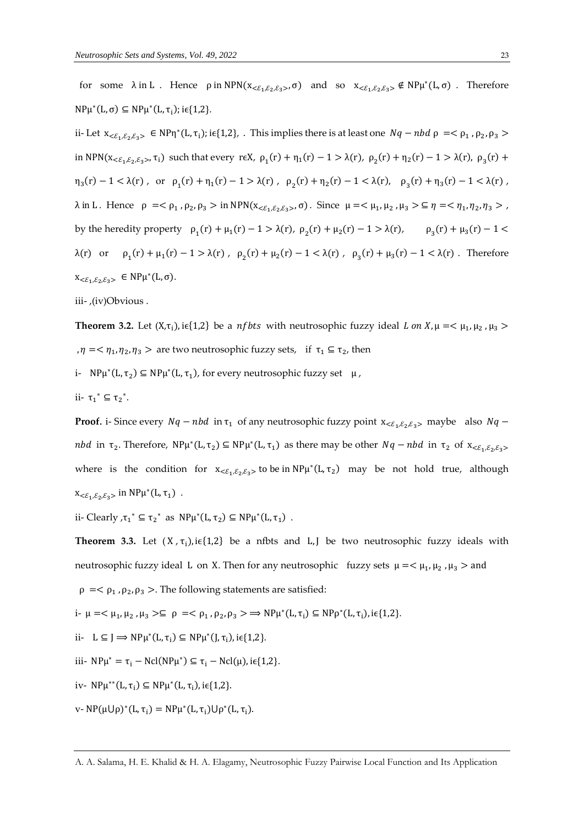for some  $\lambda$  in L. Hence  $\rho$  in NPN( $x_{\leq \epsilon_1,\epsilon_2,\epsilon_3}$ ,  $\sigma$ ) and so  $x_{\leq \epsilon_1,\epsilon_2,\epsilon_3} \notin NP\mu^*(L,\sigma)$ . Therefore  $NP\mu^*(L, \sigma) \subseteq NP\mu^*(L, \tau_i); i \in \{1, 2\}.$ 

ii- Let  $x_{<\epsilon_1,\epsilon_2,\epsilon_3>} \in NPT^*(L,\tau_1)$ ; i $\epsilon\{1,2\}$ , . This implies there is at least one  $Nq - nbd \rho \implies \rho_1$ ,  $\rho_2, \rho_3$ in NPN( $x_{\leq \epsilon_1,\epsilon_2,\epsilon_3}$ ,  $\tau_i$ ) such that every r $\epsilon X$ ,  $\rho_1(r) + \eta_1(r) - 1 > \lambda(r)$ ,  $\rho_2(r) + \eta_2(r) - 1 > \lambda(r)$ ,  $\rho_3(r) +$  $\eta_3(r) - 1 < \lambda(r)$ , or  $\rho_1(r) + \eta_1(r) - 1 > \lambda(r)$ ,  $\rho_2(r) + \eta_2(r) - 1 < \lambda(r)$ ,  $\rho_3(r) + \eta_3(r) - 1 < \lambda(r)$ ,  $\lambda$  in L. Hence  $\rho = <\rho_1$ ,  $\rho_2$ ,  $\rho_3$  > in NPN( $x_{<\varepsilon_1,\varepsilon_2,\varepsilon_3}$ , σ). Since  $\mu = <\mu_1$ ,  $\mu_2$ ,  $\mu_3$  >  $\subseteq$   $\eta = <\eta_1$ ,  $\eta_2$ ,  $\eta_3$  >, by the heredity property  $\rho_1(r) + \mu_1(r) - 1 > \lambda(r)$ ,  $\rho_2(r) + \mu_2(r) - 1 > \lambda(r)$ ,  $\rho_3(r) + \mu_3(r) - 1 <$ λ(r) or  $\rho_1(r) + \mu_1(r) - 1 > λ(r)$ ,  $\rho_2(r) + \mu_2(r) - 1 < λ(r)$ ,  $\rho_3(r) + \mu_3(r) - 1 < λ(r)$ . Therefore  $x_{\leq \varepsilon_1,\varepsilon_2,\varepsilon_3>} \in NP\mu^*(L,\sigma).$ 

iii- ,(iv)Obvious .

**Theorem 3.2.** Let  $(X,\tau_i)$ , i $\epsilon\{1,2\}$  be a *nf bts* with neutrosophic fuzzy ideal *L* on *X*,  $\mu = \langle \mu_1, \mu_2, \mu_3 \rangle$ ,  $\eta = \langle \eta_1, \eta_2, \eta_3 \rangle$  are two neutrosophic fuzzy sets, if  $\tau_1 \subseteq \tau_2$ , then

- i-  $NP\mu^*(L, \tau_2) \subseteq NP\mu^*(L, \tau_1)$ , for every neutrosophic fuzzy set  $\mu$ ,
- ii-  $\tau_1^* \subseteq \tau_2^*$ .

**Proof.** i- Since every  $Nq - nbd$  in  $\tau_1$  of any neutrosophic fuzzy point  $x_{<\epsilon_1,\epsilon_2,\epsilon_3>}$  maybe also  $Nq$ nbd in  $\tau_2$ . Therefore,  $NP\mu^*(L, \tau_2) \subseteq NP\mu^*(L, \tau_1)$  as there may be other  $Nq - nbd$  in  $\tau_2$  of  $x_{< \varepsilon_1, \varepsilon_2, \varepsilon_3>}$ where is the condition for  $x_{\leq \epsilon_1,\epsilon_2,\epsilon_3>}$  to be in  $NP\mu^*(L,\tau_2)$  may be not hold true, although  $x_{<\varepsilon_1,\varepsilon_2,\varepsilon_3>}$  in  $NP\mu^*(L,\tau_1)$ .

ii- Clearly  $\tau_1^* \subseteq \tau_2^*$  as  $N P \mu^*(L, \tau_2) \subseteq N P \mu^*(L, \tau_1)$ .

**Theorem 3.3.** Let  $(X, \tau_i)$ , i $\epsilon$ {1,2} be a nfbts and L, J be two neutrosophic fuzzy ideals with neutrosophic fuzzy ideal L on X. Then for any neutrosophic fuzzy sets  $\mu = <\mu_1, \mu_2$  ,  $\mu_3>$  and

 $\rho = <\rho_1$ ,  $\rho_2$ ,  $\rho_3$  >. The following statements are satisfied:

$$
i\text{-}\mu = <\mu_1, \mu_2, \mu_3> \subseteq \rho = <\rho_1, \rho_2, \rho_3> \Rightarrow NP\mu^*(L, \tau_i) \subseteq NP\rho^*(L, \tau_i), i\epsilon\{1, 2\}.
$$

$$
ii- L \subseteq J \Longrightarrow NP\mu^*(L, \tau_i) \subseteq NP\mu^*(J, \tau_i), i \in \{1, 2\}.
$$

iii- 
$$
NP\mu^* = \tau_i - Ncl(NP\mu^*) \subseteq \tau_i - Ncl(\mu), i \in \{1,2\}.
$$

iv-  $NP\mu^{**}(L, \tau_i) \subseteq NP\mu^{*}(L, \tau_i)$ , i $\in \{1, 2\}$ .

v- NP( $\mu \cup \rho$ )\*(L,  $\tau_i$ ) = NP $\mu^*(L, \tau_i) \cup \rho^*(L, \tau_i)$ .

A. A. Salama, H. E. Khalid & H. A. Elagamy, Neutrosophic Fuzzy Pairwise Local Function and Its Application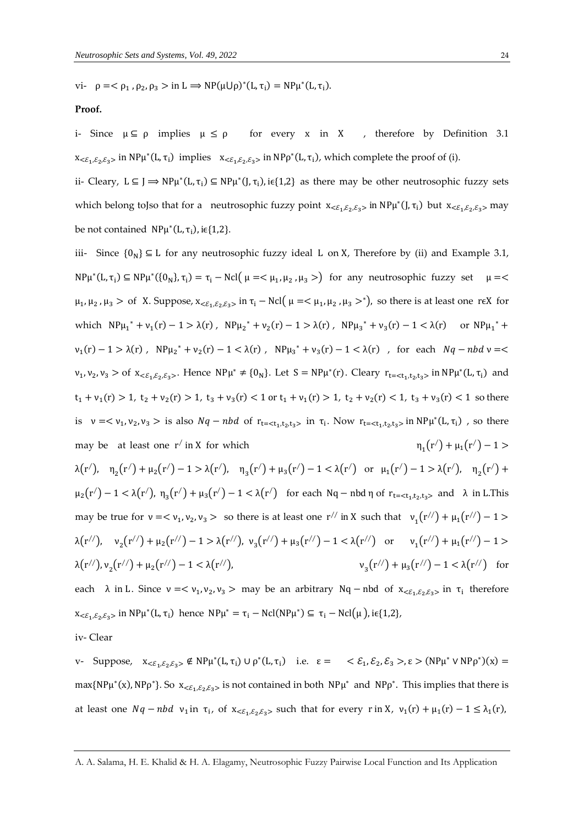vi-  $\rho = <\rho_1$ ,  $\rho_2$ ,  $\rho_3 > \text{in } L \Rightarrow NP(\mu \cup \rho)^*(L, \tau_i) = NP\mu^*(L, \tau_i)$ .

#### **Proof.**

i- Since  $\mu \subseteq \rho$  implies  $\mu \le \rho$  for every x in X, therefore by Definition 3.1  $x_{\leq \varepsilon_1,\varepsilon_2,\varepsilon_3>}$  in NP $\mu^*(L,\tau_i)$  implies  $x_{\leq \varepsilon_1,\varepsilon_2,\varepsilon_3>}$  in NP $\rho^*(L,\tau_i)$ , which complete the proof of (i).

ii- Cleary,  $L \subseteq J \implies NP\mu^*(L, \tau_i) \subseteq NP\mu^*(J, \tau_i)$ , i $\epsilon\{1,2\}$  as there may be other neutrosophic fuzzy sets which belong toJso that for a neutrosophic fuzzy point  $x_{\leq \xi_1,\xi_2,\xi_3>}$  in NP $\mu^*(J,\tau_i)$  but  $x_{\leq \xi_1,\xi_2,\xi_3>}$  may be not contained  $\ NP\mu^*(L, \tau_i)$ , i $\in \{1,2\}$ .

iii- Since  ${0_N}$  ⊆ L for any neutrosophic fuzzy ideal L on X, Therefore by (ii) and Example 3.1,  $NP\mu^*(L, \tau_i) \subseteq NP\mu^*(\{0_N\}, \tau_i) = \tau_i - Ncl(\mu = <\mu_1, \mu_2, \mu_3>)$  for any neutrosophic fuzzy set  $\mu =$  $\mu_1, \mu_2, \mu_3 >$  of X. Suppose,  $x_{<\varepsilon_1, \varepsilon_2, \varepsilon_3>}$  in  $\tau_i$  – Ncl( $\mu = \langle \mu_1, \mu_2, \mu_3 >^* \rangle$ , so there is at least one r $\epsilon$ X for which  $NP\mu_1^* + \nu_1(r) - 1 > \lambda(r)$ ,  $NP\mu_2^* + \nu_2(r) - 1 > \lambda(r)$ ,  $NP\mu_3^* + \nu_3(r) - 1 < \lambda(r)$  or  $NP\mu_1^* +$  $v_1(r) - 1 > \lambda(r)$ ,  $N P \mu_2^* + v_2(r) - 1 < \lambda(r)$ ,  $N P \mu_3^* + v_3(r) - 1 < \lambda(r)$ , for each  $Nq - nbd$   $\nu = <$  $v_1, v_2, v_3 >$  of  $x_{<\epsilon_1, \epsilon_2, \epsilon_3>}$ . Hence  $NP\mu^* \neq \{0_N\}$ . Let  $S = NP\mu^*(r)$ . Cleary  $r_{t=< t_1, t_2, t_3>}$  in  $NP\mu^*(L, \tau_i)$  and  $t_1 + v_1(r) > 1$ ,  $t_2 + v_2(r) > 1$ ,  $t_3 + v_3(r) < 1$  or  $t_1 + v_1(r) > 1$ ,  $t_2 + v_2(r) < 1$ ,  $t_3 + v_3(r) < 1$  so there is  $v = \langle v_1, v_2, v_3 \rangle$  is also  $Nq - nbd$  of  $r_{t = \langle t_1, t_2, t_3 \rangle}$  in  $\tau_i$ . Now  $r_{t = \langle t_1, t_2, t_3 \rangle}$  in  $N P \mu^*(L, \tau_i)$ , so there may be at least one r<sup>/</sup> in X for which  $\eta_1$  $(r') + \mu_1(r') - 1 >$ λ(r<sup>/</sup>), η<sub>2</sub>(r<sup>/</sup>) + μ<sub>2</sub>(r<sup>/</sup>) − 1 > λ(r<sup>/</sup>), η<sub>3</sub>(r<sup>/</sup>) + μ<sub>3</sub>(r<sup>/</sup>) − 1 < λ(r<sup>/</sup>) or μ<sub>1</sub>(r<sup>/</sup>) − 1 > λ(r<sup>/</sup>), η<sub>2</sub>(r<sup>/</sup>) +  $\mu_2(r') - 1 < \lambda(r')$ ,  $\eta_3(r') + \mu_3(r') - 1 < \lambda(r')$  for each Nq – nbd  $\eta$  of  $r_{t = < t_1, t_2, t_3>}$  and  $\lambda$  in L.This may be true for  $v = \langle v_1, v_2, v_3 \rangle$  so there is at least one  $r^{//}$  in X such that  $v_1(r^{//}) + \mu_1(r^{//}) - 1 >$ λ(r<sup>//</sup>), ν<sub>2</sub>(r<sup>//</sup>) + μ<sub>2</sub>(r<sup>//</sup>) − 1 > λ(r<sup>//</sup>), ν<sub>3</sub>(r<sup>//</sup>) + μ<sub>3</sub>(r<sup>//</sup>) − 1 < λ(r<sup>//</sup>) or ν<sub>1</sub>(r<sup>//</sup>) + μ<sub>1</sub>(r<sup>//</sup>) − 1 >  $\lambda(r'')$ ,  $v_2(r'') + \mu_2(r'') - 1 < \lambda(r'')$ ), ν  $\mu_3(r'') + \mu_3(r'') - 1 < \lambda(r'')$  for each  $\lambda$  in L. Since  $\nu = \langle \nu_1, \nu_2, \nu_3 \rangle$  may be an arbitrary Nq – nbd of  $x_{\langle \mathcal{E}_1, \mathcal{E}_2, \mathcal{E}_3 \rangle}$  in  $\tau_i$  therefore

 $x_{\leq \varepsilon_1,\varepsilon_2,\varepsilon_3>}$  in NP $\mu^*(L,\tau_i)$  hence  $NP\mu^* = \tau_i - Ncl(NP\mu^*) \subseteq \tau_i - Ncl(\mu)$ , i $\in \{1,2\}$ ,

iv- Clear

v- Suppose,  $x_{\langle \xi_1, \xi_2, \xi_3 \rangle} \notin NP\mu^*(L, \tau_i) \cup \rho^*(L, \tau_i)$  i.e.  $\varepsilon = \langle \xi_1, \xi_2, \xi_3 \rangle, \varepsilon \rangle (NP\mu^* \vee NP\rho^*)(x) =$  $max\{NP\mu^*(x), NP\rho^*\}$ . So  $x_{<\varepsilon_1,\varepsilon_2,\varepsilon_3>}$  is not contained in both  $NP\mu^*$  and  $NP\rho^*$ . This implies that there is at least one  $Nq - nbd$   $v_1$  in  $\tau_i$ , of  $x_{\leq \epsilon_1,\epsilon_2,\epsilon_3>}$  such that for every r in X,  $v_1(r) + \mu_1(r) - 1 \leq \lambda_1(r)$ ,

A. A. Salama, H. E. Khalid & H. A. Elagamy, Neutrosophic Fuzzy Pairwise Local Function and Its Application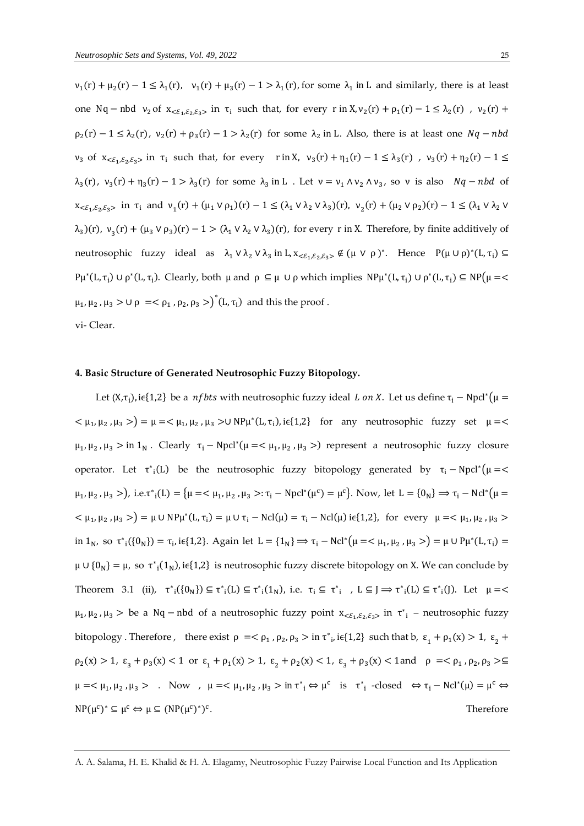$\nu_1(r) + \mu_2(r) - 1 \leq \lambda_1(r)$ ,  $\nu_1(r) + \mu_3(r) - 1 > \lambda_1(r)$ , for some  $\lambda_1$  in L and similarly, there is at least one Nq – nbd  $v_2$  of  $x_{\leq \xi_1, \xi_2, \xi_3>}$  in  $\tau_i$  such that, for every r in  $X, v_2(r) + \rho_1(r) - 1 \leq \lambda_2(r)$ ,  $v_2(r) +$  $\rho_2(r) - 1 \leq \lambda_2(r)$ ,  $v_2(r) + \rho_3(r) - 1 > \lambda_2(r)$  for some  $\lambda_2$  in L. Also, there is at least one  $Nq - nbd$  $v_3$  of  $x_{<\varepsilon_1,\varepsilon_2,\varepsilon_3>}$  in  $\tau_i$  such that, for every rin X,  $v_3(r) + \eta_1(r) - 1 \leq \lambda_3(r)$ ,  $v_3(r) + \eta_2(r) - 1 \leq$  $\lambda_3(r)$ ,  $v_3(r) + \eta_3(r) - 1 > \lambda_3(r)$  for some  $\lambda_3$  in L. Let  $v = v_1 \wedge v_2 \wedge v_3$ , so v is also  $Nq - nbd$  of  $x_{\leq \xi_1, \xi_2, \xi_3}$  in  $\tau_i$  and  $v_1(r) + (\mu_1 \vee \rho_1)(r) - 1 \leq (\lambda_1 \vee \lambda_2 \vee \lambda_3)(r)$ ,  $v_2(r) + (\mu_2 \vee \rho_2)(r) - 1 \leq (\lambda_1 \vee \lambda_2 \vee \lambda_3)(r)$  $(\lambda_3)(r)$ ,  $v_3(r) + (\mu_3 \vee \rho_3)(r) - 1 > (\lambda_1 \vee \lambda_2 \vee \lambda_3)(r)$ , for every r in X. Therefore, by finite additively of neutrosophic fuzzy ideal as  $\lambda_1 \vee \lambda_2 \vee \lambda_3$  in L,  $x_{<\varepsilon_1,\varepsilon_2,\varepsilon_3>} \notin (\mu \vee \rho)^*$ . Hence  $P(\mu \cup \rho)^*(L, \tau_i) \subseteq$  $P\mu^*(L, \tau_i) \cup \rho^*(L, \tau_i)$ . Clearly, both  $\mu$  and  $\rho \subseteq \mu \cup \rho$  which implies  $NP\mu^*(L, \tau_i) \cup \rho^*(L, \tau_i) \subseteq NP(\mu = \langle \sigma \rangle)$  $\mu_1, \mu_2, \mu_3 > \cup \rho \implies \rho_1, \rho_2, \rho_3 > \int^* (L, \tau_i)$  and this the proof.

vi- Clear.

### **4. Basic Structure of Generated Neutrosophic Fuzzy Bitopology.**

Let (X, $\tau_i$ ), i $\epsilon$ {1,2} be a *nf bts* with neutrosophic fuzzy ideal *L on X*. Let us define  $\tau_i$  – Npcl\*( $\mu$  =  $<\mu_1, \mu_2, \mu_3>$  =  $\mu$  =  $<\mu_1, \mu_2, \mu_3>$   $\cup$  NP $\mu^*(L, \tau_i)$ , ie{1,2} for any neutrosophic fuzzy set  $\mu$  =  $\leq$  $\mu_1, \mu_2, \mu_3 > \text{in } 1_N$ . Clearly  $\tau_i - \text{Npcl}^*(\mu = < \mu_1, \mu_2, \mu_3 >)$  represent a neutrosophic fuzzy closure operator. Let  $\tau^*_{i}(L)$  be the neutrosophic fuzzy bitopology generated by  $\tau_i - Npcl^*(\mu =$  $\mu_1, \mu_2, \mu_3 >$ ), i.e. $\tau_i(L) = {\mu = < \mu_1, \mu_2, \mu_3 >: \tau_i - Npcl^*(\mu^c) = \mu^c}$ . Now, let  $L = {0_N} \Rightarrow \tau_i - Ncl^*(\mu =$  $<\mu_1, \mu_2, \mu_3>$  =  $\mu \cup NP\mu^*(L, \tau_i) = \mu \cup \tau_i - Ncl(\mu) = \tau_i - Ncl(\mu)$  i $\epsilon\{1,2\}$ , for every  $\mu = <\mu_1, \mu_2, \mu_3>$ in 1<sub>N</sub>, so  $\tau_{i}^{*}(\{0_{N}\}) = \tau_{i}$ , i $\epsilon\{1,2\}$ . Again let  $L = \{1_{N}\} \Rightarrow \tau_{i} - Ncl^{*}(\mu = \langle \mu_{1}, \mu_{2}, \mu_{3} \rangle) = \mu \cup P\mu^{*}(L, \tau_{i}) =$  $\mu \cup \{0_N\} = \mu$ , so  $\tau^*_{1}(1_N)$ , ie $\{1,2\}$  is neutrosophic fuzzy discrete bitopology on X. We can conclude by Theorem 3.1 (ii),  $\tau^*_{i}(\{0_N\}) \subseteq \tau^*_{i}(L) \subseteq \tau^*_{i}(1_N)$ , i.e.  $\tau_i \subseteq \tau^*_{i}$ ,  $L \subseteq J \Rightarrow \tau^*_{i}(L) \subseteq \tau^*_{i}(J)$ . Let  $\mu =$  $\mu_1, \mu_2, \mu_3 >$  be a Nq – nbd of a neutrosophic fuzzy point  $x_{<\varepsilon_1, \varepsilon_2, \varepsilon_3>}$  in  $\tau^*$  – neutrosophic fuzzy bitopology. Therefore, there exist  $\rho = \langle \rho_1, \rho_2, \rho_3 \rangle$  in  $\tau_{i}$ , i $\epsilon$ {1,2} such that b,  $\varepsilon_1 + \rho_1(x) > 1$ ,  $\varepsilon_2$  +  $\rho_2(x) > 1$ ,  $\varepsilon_3 + \rho_3(x) < 1$  or  $\varepsilon_1 + \rho_1(x) > 1$ ,  $\varepsilon_2 + \rho_2(x) < 1$ ,  $\varepsilon_3 + \rho_3(x) < 1$  and  $\rho = <\rho_1$ ,  $\rho_2$ ,  $\rho_3 > \subseteq$  $\mu = < \mu_1, \mu_2, \mu_3 >$  . Now ,  $\mu = < \mu_1, \mu_2, \mu_3 > \text{in } \tau_{i} \Leftrightarrow \mu^{c}$  is  $\tau_{i}^{*}$  -closed  $\Leftrightarrow \tau_{i} - \text{Ncl}^{*}(\mu) = \mu^{c} \Leftrightarrow$  $NP(\mu^c)^* \subseteq \mu^c \Leftrightarrow \mu \subseteq (NP(\mu^c)^*)^c$ . Therefore

A. A. Salama, H. E. Khalid & H. A. Elagamy, Neutrosophic Fuzzy Pairwise Local Function and Its Application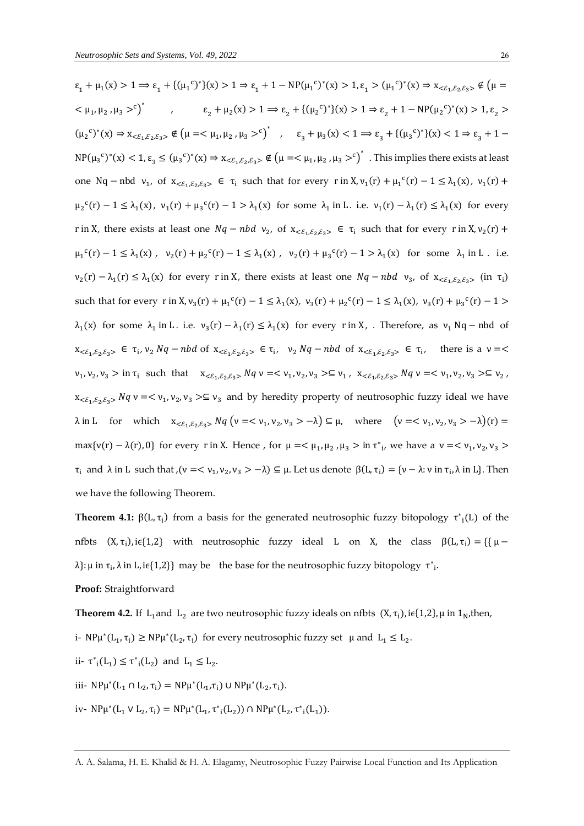**Proof:** Straightforward

 $\varepsilon_1 + \mu_1(x) > 1 \Rightarrow \varepsilon_1 + \{(\mu_1^c)^*\}(x) > 1 \Rightarrow \varepsilon_1 + 1 - NP(\mu_1^c)^*(x) > 1, \varepsilon_1 > (\mu_1^c)^*(x) \Rightarrow x_{< \varepsilon_1, \varepsilon_2, \varepsilon_3>} \notin (\mu = \varepsilon_1 + \mu_1^c)$  $<\mu_1, \mu_2, \mu_3>^c$ <sup>\*</sup>,  $\varepsilon_2 + \mu_2(x) > 1 \Rightarrow \varepsilon_2 + \{(\mu_2^c)^*\}(x) > 1 \Rightarrow \varepsilon_2 + 1 - NP(\mu_2^c)^*(x) > 1, \varepsilon_2 > 1$  $(\mu_2^c)^*(x) \Rightarrow x_{<\varepsilon_1,\varepsilon_2,\varepsilon_3>} \notin (\mu =< \mu_1, \mu_2, \mu_3 >^c)^*$ ,  $\varepsilon_3 + \mu_3(x) < 1 \Rightarrow \varepsilon_3 + \{(\mu_3^c)^*\}(x) < 1 \Rightarrow \varepsilon_3 + 1$  $NP(\mu_3^c)^*(x) < 1, \epsilon_3 \le (\mu_3^c)^*(x) \Rightarrow x_{<\epsilon_1,\epsilon_2,\epsilon_3>} \notin (\mu = \langle \mu_1, \mu_2, \mu_3 >^c \rangle^*$  . This implies there exists at least one Nq – nbd  $v_1$ , of  $x_{<\epsilon_1,\epsilon_2,\epsilon_3>} \in \tau_i$  such that for every r in  $X, v_1(r) + \mu_1^c(r) - 1 \leq \lambda_1(x), v_1(r) +$  $\mu_2^c(r) - 1 \leq \lambda_1(x)$ ,  $\nu_1(r) + \mu_3^c(r) - 1 > \lambda_1(x)$  for some  $\lambda_1$  in L. i.e.  $\nu_1(r) - \lambda_1(r) \leq \lambda_1(x)$  for every r in X, there exists at least one  $Nq - nbd$   $v_2$ , of  $x_{<\epsilon_1,\epsilon_2,\epsilon_3>} \in \tau_i$  such that for every r in X,  $v_2(r)$  +  $\mu_1^c(r) - 1 \leq \lambda_1(x)$ ,  $v_2(r) + \mu_2^c(r) - 1 \leq \lambda_1(x)$ ,  $v_2(r) + \mu_3^c(r) - 1 > \lambda_1(x)$  for some  $\lambda_1$  in L. i.e.  $v_2(r) - \lambda_1(r) \leq \lambda_1(x)$  for every r in X, there exists at least one  $Nq - nbd$   $v_3$ , of  $x_{<\varepsilon_1,\varepsilon_2,\varepsilon_3>}$  (in  $\tau_1$ ) such that for every r in  $X, v_3(r) + \mu_1^c(r) - 1 \leq \lambda_1(x), v_3(r) + \mu_2^c(r) - 1 \leq \lambda_1(x), v_3(r) + \mu_3^c(r) - 1 >$  $\lambda_1(x)$  for some  $\lambda_1$  in L. i.e.  $v_3(r) - \lambda_1(r) \leq \lambda_1(x)$  for every r in X, . Therefore, as  $v_1$  Nq – nbd of  $x_{\langle \xi_1, \xi_2, \xi_3 \rangle} \in \tau_i$ ,  $v_2 Nq - nbd$  of  $x_{\langle \xi_1, \xi_2, \xi_3 \rangle} \in \tau_i$ ,  $v_2 Nq - nbd$  of  $x_{\langle \xi_1, \xi_2, \xi_3 \rangle} \in \tau_i$ , there is a  $v = \langle \xi_1, \xi_2, \xi_3 \rangle$  $v_1, v_2, v_3 > \text{in } \tau_i \text{ such that } x_{<\varepsilon_1, \varepsilon_2, \varepsilon_3>} Nq \vee x \lt v_1, v_2, v_3 > \subseteq v_1, x_{<\varepsilon_1, \varepsilon_2, \varepsilon_3>} Nq \vee x \lt v_1, v_2, v_3 > \subseteq v_2,$  $x_{\leq \varepsilon_1,\varepsilon_2,\varepsilon_3}$ ,  $Nq$   $\nu \leq \nu_1, \nu_2, \nu_3 \geq \varepsilon$   $\nu_3$  and by heredity property of neutrosophic fuzzy ideal we have  $λ$  in L for which  $x<sub>≤1</sub>,ε<sub>2</sub>,ε<sub>3</sub> > Nq$  (ν = < ν<sub>1</sub>, ν<sub>2</sub>, ν<sub>3</sub> > −λ) ⊆ μ, where (ν = < ν<sub>1</sub>, ν<sub>2</sub>, ν<sub>3</sub> > −λ)(r) = max{ $v(r) - \lambda(r)$ , 0} for every r in X. Hence, for  $\mu = <\mu_1, \mu_2, \mu_3 >$  in  $\tau^*_{i'}$ , we have a  $v =$  $\tau_i$  and  $\lambda$  in L such that ,( $\nu = \langle \nu_1, \nu_2, \nu_3 \rangle - \lambda$ )  $\subseteq \mu$ . Let us denote  $\beta(L, \tau_i) = \{ \nu - \lambda : \nu \text{ in } \tau_i, \lambda \text{ in } L \}$ . Then we have the following Theorem.

**Theorem 4.1:**  $\beta(L, \tau_i)$  from a basis for the generated neutrosophic fuzzy bitopology  $\tau^*_{i}(L)$  of the nfbts  $(X, \tau_i)$ , i $\epsilon\{1,2\}$  with neutrosophic fuzzy ideal L on X, the class  $\beta(L, \tau_i) = \{\mu$ λ}: μ in τ<sub>i</sub>, λ in L, i $\epsilon$ {1,2}} may be the base for the neutrosophic fuzzy bitopology  $\tau^*$ <sub>i</sub>.

**Theorem 4.2.** If  $L_1$ and  $L_2$  are two neutrosophic fuzzy ideals on nfbts  $(X, \tau_i)$ , i $\epsilon\{1,2\}$ ,  $\mu$  in  $1_N$ , then, i-  $NP\mu^*(L_1, \tau_i) \ge NP\mu^*(L_2, \tau_i)$  for every neutrosophic fuzzy set  $\mu$  and  $L_1 \le L_2$ . ii-  $\tau^*_{i}(L_1) \leq \tau^*_{i}(L_2)$  and  $L_1 \leq L_2$ . iii-  $NP\mu^*(L_1 \cap L_2, \tau_i) = NP\mu^*(L_1, \tau_i) \cup NP\mu^*(L_2, \tau_i).$ iv-  $NP\mu^*(L_1 \vee L_2, \tau_i) = NP\mu^*(L_1, \tau^*(L_2)) \cap NP\mu^*(L_2, \tau^*(L_1)).$ 

A. A. Salama, H. E. Khalid & H. A. Elagamy, Neutrosophic Fuzzy Pairwise Local Function and Its Application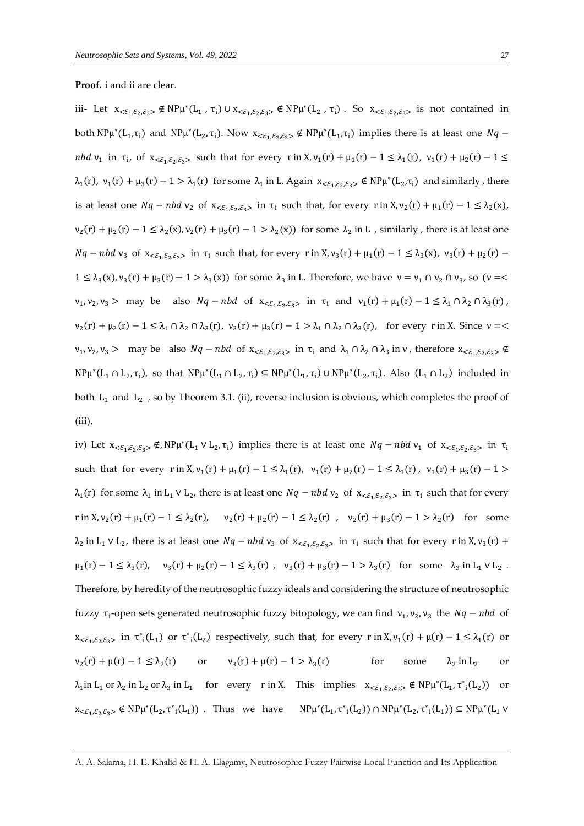#### **Proof.** i and ii are clear.

iii- Let  $x_{\langle \mathcal{E}_1, \mathcal{E}_2, \mathcal{E}_3 \rangle} \notin NP\mu^*(L_1, \tau_i) \cup x_{\langle \mathcal{E}_1, \mathcal{E}_2, \mathcal{E}_3 \rangle} \notin NP\mu^*(L_2, \tau_i)$ . So  $x_{\langle \mathcal{E}_1, \mathcal{E}_2, \mathcal{E}_3 \rangle}$  is not contained in both  $NP\mu^*(L_1, \tau_i)$  and  $NP\mu^*(L_2, \tau_i)$ . Now  $x_{<\epsilon_1, \epsilon_2, \epsilon_3>} \notin NP\mu^*(L_1, \tau_i)$  implies there is at least one  $Nq$ nbd v<sub>1</sub> in  $\tau_i$ , of  $x_{<\epsilon_1,\epsilon_2,\epsilon_3>}$  such that for every r in X,  $v_1(r) + \mu_1(r) - 1 \leq \lambda_1(r)$ ,  $v_1(r) + \mu_2(r) - 1 \leq$  $\lambda_1(r)$ ,  $v_1(r) + \mu_3(r) - 1 > \lambda_1(r)$  for some  $\lambda_1$  in L. Again  $x_{<\epsilon_1,\epsilon_2,\epsilon_3>} \notin NP\mu^*(L_2,\tau_i)$  and similarly, there is at least one  $Nq - nbd v_2$  of  $x_{<\epsilon_1,\epsilon_2,\epsilon_3>}$  in  $\tau_i$  such that, for every  $r$  in  $X, v_2(r) + \mu_1(r) - 1 \leq \lambda_2(x)$ ,  $v_2(r) + \mu_2(r) - 1 \le \lambda_2(x), v_2(r) + \mu_3(r) - 1 > \lambda_2(x)$  for some  $\lambda_2$  in L, similarly, there is at least one  $Nq - nbd v_3$  of  $x_{<\varepsilon_1,\varepsilon_2,\varepsilon_3>}$  in  $\tau_i$  such that, for every r in  $X, v_3(r) + \mu_1(r) - 1 \leq \lambda_3(x)$ ,  $v_3(r) + \mu_2(r) 1 \leq \lambda_3(x), v_3(r) + \mu_3(r) - 1 > \lambda_3(x)$  for some  $\lambda_3$  in L. Therefore, we have  $v = v_1 \cap v_2 \cap v_3$ , so  $(v = \leq$  $v_1, v_2, v_3 > \text{ may be also } Nq - nbd \text{ of } x_{<\varepsilon_1, \varepsilon_2, \varepsilon_3>} \text{ in } \tau_i \text{ and } v_1(r) + \mu_1(r) - 1 \leq \lambda_1 \cap \lambda_2 \cap \lambda_3(r)$ ,  $v_2(r) + \mu_2(r) - 1 \leq \lambda_1 \cap \lambda_2 \cap \lambda_3(r)$ ,  $v_3(r) + \mu_3(r) - 1 > \lambda_1 \cap \lambda_2 \cap \lambda_3(r)$ , for every r in X. Since  $v =$  $v_1, v_2, v_3 >$  may be also  $Nq - nbd$  of  $x_{\leq \xi_1, \xi_2, \xi_3>}$  in  $\tau_i$  and  $\lambda_1 \cap \lambda_2 \cap \lambda_3$  in  $v$ , therefore  $x_{\leq \xi_1, \xi_2, \xi_3>} \notin$  $NP\mu^*(L_1 \cap L_2, \tau_i)$ , so that  $NP\mu^*(L_1 \cap L_2, \tau_i) \subseteq NP\mu^*(L_1, \tau_i) \cup NP\mu^*(L_2, \tau_i)$ . Also  $(L_1 \cap L_2)$  included in both  $L_1$  and  $L_2$  , so by Theorem 3.1. (ii), reverse inclusion is obvious, which completes the proof of (iii).

iv) Let  $x_{\leq \epsilon_1,\epsilon_2,\epsilon_3>} \notin NP\mu^*(L_1 \vee L_2,\tau_i)$  implies there is at least one  $Nq-nbdv_1$  of  $x_{\leq \epsilon_1,\epsilon_2,\epsilon_3>}$  in  $\tau_i$ such that for every  $r \in X$ ,  $v_1(r) + \mu_1(r) - 1 \leq \lambda_1(r)$ ,  $v_1(r) + \mu_2(r) - 1 \leq \lambda_1(r)$ ,  $v_1(r) + \mu_3(r) - 1 >$  $\lambda_1(r)$  for some  $\lambda_1$  in L<sub>1</sub> V L<sub>2</sub>, there is at least one  $Nq - nbd$  v<sub>2</sub> of  $x_{<\epsilon_1,\epsilon_2,\epsilon_3>}$  in  $\tau_i$  such that for every r in X,  $v_2(r) + \mu_1(r) - 1 \le \lambda_2(r)$ ,  $v_2(r) + \mu_2(r) - 1 \le \lambda_2(r)$ ,  $v_2(r) + \mu_3(r) - 1 > \lambda_2(r)$  for some  $\lambda_2$  in L<sub>1</sub>  $\vee$  L<sub>2</sub>, there is at least one  $Nq - nbd v_3$  of  $x_{<\epsilon_1,\epsilon_2,\epsilon_3>}$  in  $\tau_i$  such that for every r in X,  $v_3(r)$  +  $\mu_1(r) - 1 \leq \lambda_3(r)$ ,  $v_3(r) + \mu_2(r) - 1 \leq \lambda_3(r)$ ,  $v_3(r) + \mu_3(r) - 1 > \lambda_3(r)$  for some  $\lambda_3$  in  $L_1 \vee L_2$ . Therefore, by heredity of the neutrosophic fuzzy ideals and considering the structure of neutrosophic fuzzy τ<sub>i</sub>-open sets generated neutrosophic fuzzy bitopology, we can find  $v_1, v_2, v_3$  the  $Nq - nbd$  of  $x_{\leq \varepsilon_1,\varepsilon_2,\varepsilon_3>}$  in  $\tau^*_{i}(L_1)$  or  $\tau^*_{i}(L_2)$  respectively, such that, for every r in  $X, v_1(r) + \mu(r) - 1 \leq \lambda_1(r)$  or  $v_2(r) + \mu(r) - 1 \le \lambda_2(r)$  or  $v_3$  $v_3(r) + \mu(r) - 1 > \lambda_3(r)$  for some  $\lambda_2$  in  $L_2$  or  $\lambda_1$ in L<sub>1</sub> or  $\lambda_2$  in L<sub>2</sub> or  $\lambda_3$  in L<sub>1</sub> for every r in X. This implies  $x_{<\epsilon_1,\epsilon_2,\epsilon_3>} \notin NP\mu^*(L_1,\tau^*_{i}(L_2))$  or  $x_{\leq \xi_1,\xi_2,\xi_3} \notin NP\mu^*(L_2,\tau^*_{i}(L_1))$ . Thus we have  $NP\mu^*(L_1,\tau^*_{i}(L_2)) \cap NP\mu^*(L_2,\tau^*_{i}(L_1)) \subseteq NP\mu^*(L_1 \vee L_2)$ 

A. A. Salama, H. E. Khalid & H. A. Elagamy, Neutrosophic Fuzzy Pairwise Local Function and Its Application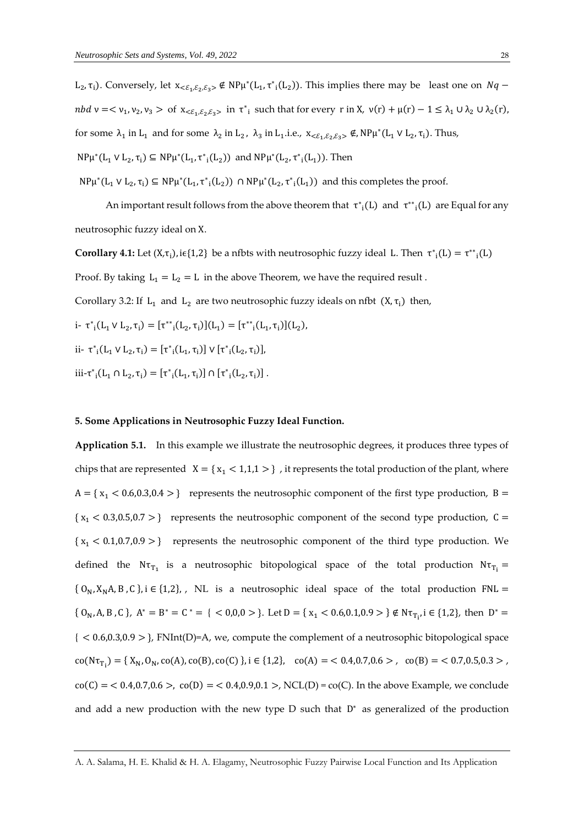L<sub>2</sub>,  $\tau$ <sub>i</sub>). Conversely, let  $x_{<\epsilon_1,\epsilon_2,\epsilon_3>} \notin NP\mu^*(L_1, \tau^*(L_2))$ . This implies there may be least one on  $Nq$  –  $nbd \nu = <\nu_1, \nu_2, \nu_3 >$  of  $x_{<\varepsilon_1,\varepsilon_2,\varepsilon_3>}$  in  $\tau^*$  such that for every  $r$  in X,  $\nu(r) + \mu(r) - 1 \leq \lambda_1 \cup \lambda_2 \cup \lambda_2(r)$ , for some  $\lambda_1$  in  $L_1$  and for some  $\lambda_2$  in  $L_2$ ,  $\lambda_3$  in  $L_1$  i.e.,  $x_{<\varepsilon_1,\varepsilon_2,\varepsilon_3>} \notin$ , NP $\mu^*(L_1 \vee L_2, \tau_i)$ . Thus, NPμ<sup>\*</sup>(L<sub>1</sub> ∨ L<sub>2</sub>, τ<sub>i</sub>) ⊆ NPμ<sup>\*</sup>(L<sub>1</sub>, τ<sup>\*</sup><sub>i</sub>(L<sub>2</sub>)) and NPμ<sup>\*</sup>(L<sub>2</sub>, τ<sup>\*</sup><sub>i</sub>(L<sub>1</sub>)). Then

 $NP\mu^*(L_1 \vee L_2, \tau_i) \subseteq NP\mu^*(L_1, \tau^*(L_2))$   $\cap NP\mu^*(L_2, \tau^*(L_1))$  and this completes the proof.

An important result follows from the above theorem that  $\tau^*_{i}(L)$  and  $\tau^{**}_{i}(L)$  are Equal for any neutrosophic fuzzy ideal on X.

**Corollary 4.1:** Let  $(X,\tau_i)$ , i $\epsilon\{1,2\}$  be a nfbts with neutrosophic fuzzy ideal L. Then  $\tau^*_{i}(L) = \tau^{**}_{i}(L)$ Proof. By taking  $L_1 = L_2 = L$  in the above Theorem, we have the required result. Corollary 3.2: If  $L_1$  and  $L_2$  are two neutrosophic fuzzy ideals on nfbt  $(X, \tau_i)$  then, i-  $\tau^*_{i}(L_1 \vee L_2, \tau_i) = [\tau^{**}_{i}(L_2, \tau_i)](L_1) = [\tau^{**}_{i}(L_1, \tau_i)](L_2),$ 

ii-  $\tau^*_{i}(L_1 \vee L_2, \tau_i) = [\tau^*_{i}(L_1, \tau_i)] \vee [\tau^*_{i}(L_2, \tau_i)],$ 

iii-τ<sup>\*</sup><sub>i</sub>(L<sub>1</sub> ∩ L<sub>2</sub>, τ<sub>i</sub>) = [τ<sup>\*</sup><sub>i</sub>(L<sub>1</sub>, τ<sub>i</sub>)] ∩ [τ<sup>\*</sup><sub>i</sub>(L<sub>2</sub>, τ<sub>i</sub>)].

### **5. Some Applications in Neutrosophic Fuzzy Ideal Function.**

**Application 5.1.** In this example we illustrate the neutrosophic degrees, it produces three types of chips that are represented  $X = \{x_1 < 1, 1, 1 > \}$ , it represents the total production of the plant, where  $A = \{x_1 < 0.6, 0.3, 0.4 > \}$  represents the neutrosophic component of the first type production, B =  ${x_1 < 0.3, 0.5, 0.7>}$  represents the neutrosophic component of the second type production, C =  ${x_1 < 0.1, 0.7, 0.9>}$  represents the neutrosophic component of the third type production. We defined the  $N\tau_{T_1}$  is a neutrosophic bitopological space of the total production  $N\tau_{T_1} =$  $\{O_N, X_N, A, B, C\}$ , i  $\in \{1,2\}$ , NL is a neutrosophic ideal space of the total production FNL = {  $O_N$ , A, B, C }, A<sup>\*</sup> = B<sup>\*</sup> = C<sup>\*</sup> = { < 0,0,0 > }. Let D = {  $x_1$  < 0.6,0.1,0.9 > }  $\notin N\tau_{T_i}$ , i  $\in$  {1,2}, then D<sup>\*</sup> = { < 0.6,0.3,0.9 > }, FNInt(D)=A, we, compute the complement of a neutrosophic bitopological space  $co(N\tau_{T_i}) = \{ X_N, 0_N, co(A), co(B), co(C) \}, i \in \{1, 2\}, \quad co(A) = 0.4, 0.7, 0.6 > \text{, } co(B) = 0.7, 0.5, 0.3 > \text{, }$  $co(C) = 0.4, 0.7, 0.6 >, co(D) = 0.4, 0.9, 0.1 >, NCL(D) = co(C)$ . In the above Example, we conclude and add a new production with the new type  $D$  such that  $D^*$  as generalized of the production

A. A. Salama, H. E. Khalid & H. A. Elagamy, Neutrosophic Fuzzy Pairwise Local Function and Its Application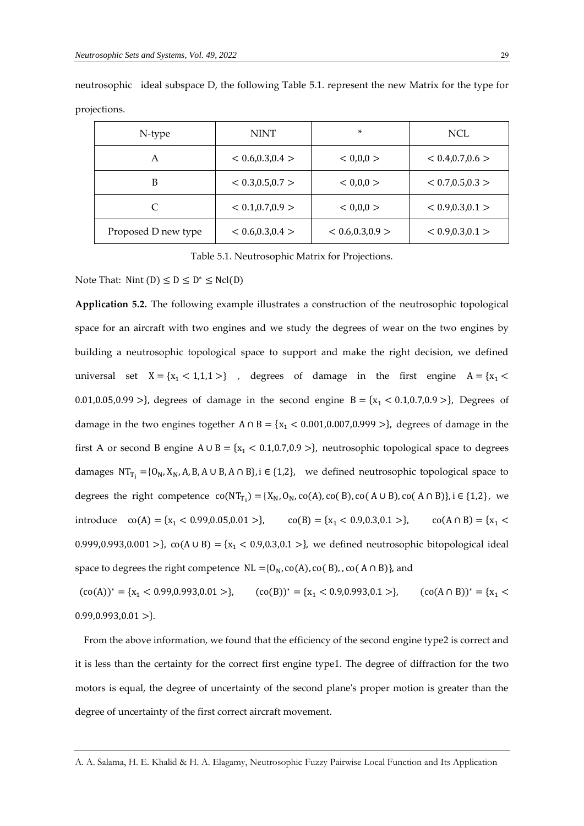| N-type              | <b>NINT</b>       | ×                 | <b>NCL</b>        |
|---------------------|-------------------|-------------------|-------------------|
| А                   | < 0.6, 0.3, 0.4 > | < 0.00 >          | < 0.4, 0.7, 0.6 > |
| B                   | < 0.3, 0.5, 0.7 > | < 0.00 >          | < 0.7, 0.5, 0.3 > |
| C                   | < 0.1, 0.7, 0.9 > | < 0.00 >          | < 0.9, 0.3, 0.1 > |
| Proposed D new type | < 0.6, 0.3, 0.4 > | < 0.6, 0.3, 0.9 > | < 0.9, 0.3, 0.1 > |

neutrosophic ideal subspace D, the following Table 5.1. represent the new Matrix for the type for projections.

Table 5.1. Neutrosophic Matrix for Projections.

Note That: Nint  $(D) \le D \le D^* \le Ncl(D)$ 

**Application 5.2.** The following example illustrates a construction of the neutrosophic topological space for an aircraft with two engines and we study the degrees of wear on the two engines by building a neutrosophic topological space to support and make the right decision, we defined universal set  $X = \{x_1 < 1, 1, 1 > \}$ , degrees of damage in the first engine  $A = \{x_1 <$ 0.01,0.05,0.99 >}, degrees of damage in the second engine  $B = \{x_1 < 0.1, 0.7, 0.9 > \}$ , Degrees of damage in the two engines together  $A \cap B = \{x_1 < 0.001, 0.007, 0.999 > \}$ , degrees of damage in the first A or second B engine  $A \cup B = \{x_1 < 0.1, 0.7, 0.9 > \}$ , neutrosophic topological space to degrees damages  $NT_{T_i} = \{0_N, X_N, A, B, A \cup B, A \cap B\}$ , i  $\in \{1,2\}$ , we defined neutrosophic topological space to degrees the right competence  $co(NT_{T_i}) = \{X_N, O_N, co(A), co(B), co(A \cup B), co(A \cap B)\}, i \in \{1,2\},$  we introduce  $co(A) = \{x_1 < 0.99, 0.05, 0.01 > \},$   $co(B) = \{x_1 < 0.9, 0.3, 0.1 > \},$   $co(A \cap B) = \{x_1 <$ 0.999,0.993,0.001 >},  $co(A \cup B) = \{x_1 < 0.9, 0.3, 0.1 > \}$ , we defined neutrosophic bitopological ideal space to degrees the right competence  $NL = {0_N, co(A), co(B), co(A \cap B)}$ , and

 $({\rm co(A)})^* = {x_1 < 0.99, 0.993, 0.01 >},$   $({\rm co(B)})^* = {x_1 < 0.9, 0.993, 0.1 >},$   $({\rm co(A \cap B)})^* = {x_1 < 0.9, 0.993, 0.1 >}.$  $0.99, 0.993, 0.01 >$ }

From the above information, we found that the efficiency of the second engine type2 is correct and it is less than the certainty for the correct first engine type1. The degree of diffraction for the two motors is equal, the degree of uncertainty of the second plane's proper motion is greater than the degree of uncertainty of the first correct aircraft movement.

A. A. Salama, H. E. Khalid & H. A. Elagamy, Neutrosophic Fuzzy Pairwise Local Function and Its Application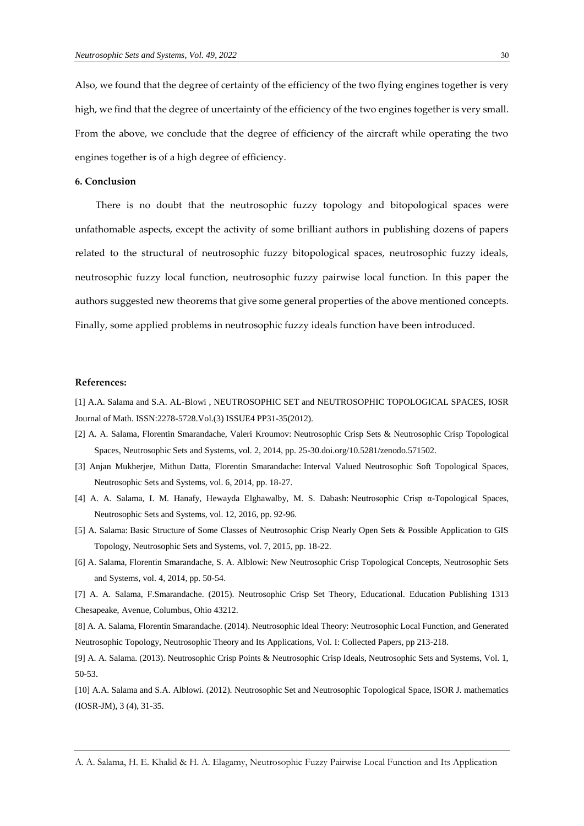Also, we found that the degree of certainty of the efficiency of the two flying engines together is very high, we find that the degree of uncertainty of the efficiency of the two engines together is very small. From the above, we conclude that the degree of efficiency of the aircraft while operating the two engines together is of a high degree of efficiency.

### **6. Conclusion**

There is no doubt that the neutrosophic fuzzy topology and bitopological spaces were unfathomable aspects, except the activity of some brilliant authors in publishing dozens of papers related to the structural of neutrosophic fuzzy bitopological spaces, neutrosophic fuzzy ideals, neutrosophic fuzzy local function, neutrosophic fuzzy pairwise local function. In this paper the authors suggested new theorems that give some general properties of the above mentioned concepts. Finally, some applied problems in neutrosophic fuzzy ideals function have been introduced.

## **References:**

[1] A.A. Salama and S.A. AL-Blowi , NEUTROSOPHIC SET and NEUTROSOPHIC TOPOLOGICAL SPACES, IOSR Journal of Math. ISSN:2278-5728.Vol.(3) ISSUE4 PP31-35(2012).

- [2] A. A. Salama, Florentin Smarandache, Valeri Kroumov: [Neutrosophic Crisp Sets & Neutrosophic Crisp Topological](http://fs.unm.edu/NSS/NeutrosophicCrispSets.pdf)  [Spaces, Neutrosophic Sets and Systems, vol. 2, 2014, pp. 25-30.](http://fs.unm.edu/NSS/NeutrosophicCrispSets.pdf)[doi.org/10.5281/zenodo.571502.](https://doi.org/10.5281/zenodo.571502)
- [3] [Anjan Mukherjee, Mithun Datta, Florentin Smarandache:](http://fs.unm.edu/NSS/IntervalValuedNeutrosophicSoftTopological.pdf) Interval Valued Neutrosophic Soft Topological Spaces, [Neutrosophic Sets and Systems, vol. 6, 2014, pp. 18-27.](http://fs.unm.edu/NSS/IntervalValuedNeutrosophicSoftTopological.pdf)
- [4] [A. A. Salama, I. M. Hanafy, Hewayda Elghawalby, M. S. Dabash:](http://fs.unm.edu/NSS/NeutrosophicCrispAlphaTopologicalSpaces.pdf) Neutrosophic Crisp α-Topological Spaces, [Neutrosophic Sets and Systems, vol. 12, 2016, pp. 92-96.](http://fs.unm.edu/NSS/NeutrosophicCrispAlphaTopologicalSpaces.pdf)
- [5] A. Salama: [Basic Structure of Some Classes of Neutrosophic Crisp Nearly Open Sets & Possible Application to GIS](http://fs.unm.edu/NSS/BasicStructureOfSomeClasses.pdf)  [Topology, Neutrosophic Sets and Systems, vol. 7, 2015, pp. 18-22.](http://fs.unm.edu/NSS/BasicStructureOfSomeClasses.pdf)
- [6] A. Salama, Florentin Smarandache, S. A. Alblowi: [New Neutrosophic Crisp Topological Concepts, Neutrosophic Sets](http://fs.unm.edu/NSS/NewNeutrosophicCrispTopological.pdf)  [and Systems, vol. 4, 2014, pp. 50-54.](http://fs.unm.edu/NSS/NewNeutrosophicCrispTopological.pdf)
- [7] A. A. Salama, F.Smarandache. (2015). Neutrosophic Crisp Set Theory, Educational. Education Publishing 1313 Chesapeake, Avenue, Columbus, Ohio 43212.

[8] A. A. Salama, Florentin Smarandache. (2014). Neutrosophic Ideal Theory: Neutrosophic Local Function, and Generated Neutrosophic Topology, Neutrosophic Theory and Its Applications, Vol. I: Collected Papers, pp 213-218.

[9] A. A. Salama. (2013). Neutrosophic Crisp Points & Neutrosophic Crisp Ideals, Neutrosophic Sets and Systems, Vol. 1, 50-53.

[10] A.A. Salama and S.A. Alblowi. (2012). Neutrosophic Set and Neutrosophic Topological Space, ISOR J. mathematics (IOSR-JM), 3 (4), 31-35.

A. A. Salama, H. E. Khalid & H. A. Elagamy, Neutrosophic Fuzzy Pairwise Local Function and Its Application